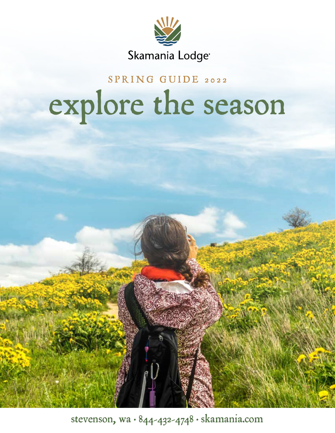

# SPRING GUIDE 2022 explore the season

stevenson, wa  $\cdot$  844-432-4748  $\cdot$  skamania.com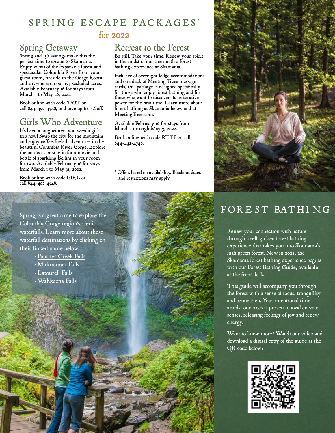#### SPRING ESCAPE PACKAGES\* for 2022

### Spring Getaway

Spring and 15% savings make this the perfect time to escape to Skamania. Enjoy views of the expansive forest and spectacular Columbia River from your guest room, fireside in the Gorge Room and anywhere on our 175 secluded acres. Available February 16 for stays from March 1 to May  $26$ , 2022.

[Book online w](https://www.skamania.com/#/booking/step-1?promo=spgt)ith code SPGT or call 844-432-4748, and save up to 15% off.

### Girls Who Adventure

It's been a long winter...you need a girls' trip now! Swap the city for the mountains and enjoy coffee-fueled adventures in the beautiful Columbia River Gorge. Explore the outdoors or stay in for a movie and a bottle of sparkling Bellini in your room for two. Available February 16 for stays from March  $\scriptstyle{1}$  to May 31, 2022.

[Book online w](https://www.skamania.com/#/booking/step-1?promo=GIRL)ith code GIRL or call 844-432-4748.

#### Retreat to the Forest

Be still. Take your time. Renew your spirit in the midst of our trees with a forest bathing experience at Skamania.

Inclusive of overnight lodge accommodations and one deck of Meeting Trees message cards, this package is designed specifcally for those who enjoy forest bathing and for those who want to discover its restorative power for the frst time. Learn more about forest bathing at Skamania below and at [MeetingTrees.com.](https://MeetingTrees.com)

Available February 16 for stays from March 1 through May  $3$ , 2022.

[Book online w](https://www.skamania.com/#/booking/step-1?promo=RTTF)ith code RTTF or call 844-432-4748.

\* Offers based on availability. Blackout dates and restrictions may apply.



### FORE ST BATHI NG

Renew your connection with nature through a self-guided forest bathing experience that takes you into Skamania's lush green forest. New in 2022, the Skamania forest bathing experience begins with our Forest Bathing Guide, available at the front desk.

This guide will accompany you through the forest with a sense of focus, tranquility and connection. Your intentional time amidst our trees is proven to awaken your senses, releasing feelings of joy and renew energy.

Want to know more? Watch our video and download a digital copy of the guide at the QR code below:



Spring is a great time to explore the Columbia Gorge region's scenic waterfalls. Learn more about these waterfall destinations by clicking on their linked name below:

- • [Panther Creek Falls](https://www.fs.usda.gov/recarea/giffordpinchot/recarea/?recid=31868)
- • [Multnomah Falls](https://www.fs.usda.gov/recarea/crgnsa/recarea/?recid=30026)
- • [Latourell Falls](https://www.oregonhikers.org/field_guide/Latourell_Falls_Loop_Hike)
- [Wahkeena Falls](https://www.fs.usda.gov/recarea/crgnsa/recarea/?recid=29996)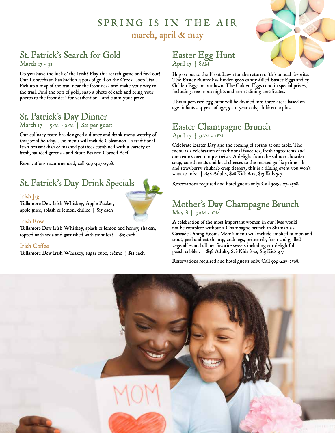### SPRING IS IN THE AIR march, april & may

#### St. Patrick's Search for Gold

March 17 - 31

Do you have the luck o' the Irish? Play this search game and fnd out! Our Leprechaun has hidden 4 pots of gold on the Creek Loop Trail. Pick up a map of the trail near the front desk and make your way to the trail. Find the pots of gold, snap a photo of each and bring your photos to the front desk for verifcation – and claim your prize!

## St. Patrick's Day Dinner<br>March 17 | 5PM - 9PM | \$21 per guest

Our culinary team has designed a dinner and drink menu worthy of this jovial holiday. The menu will include Colcannon – a traditional Irish peasant dish of mashed potatoes combined with a variety of fresh, sautéed greens – and Stout Braised Corned Beef.

Reservations recommended, call 509-427-2508.

### St. Patrick's Day Drink Specials

#### Irish Jig

Tullamore Dew Irish Whiskey, Apple Pucker, apple juice, splash of lemon, chilled | \$15 each

#### Irish Rose

Tullamore Dew Irish Whiskey, splash of lemon and honey, shaken, topped with soda and garnished with mint leaf | \$15 each

#### Irish Coffee

Tullamore Dew Irish Whiskey, sugar cube, crème | \$12 each

#### Easter Egg Hunt April 17 | 8AM

Hop on out to the Front Lawn for the return of this annual favorite. The Easter Bunny has hidden 5000 candy-filled Easter Eggs and 25 Golden Eggs on our lawn. The Golden Eggs contain special prizes, including free room nights and resort dining certificates.

This supervised egg hunt will be divided into three areas based on age: infants - 4 year of age;  $5 -$  11 year olds; children 12 plus.

#### Easter Champagne Brunch April 17 |  $gAM - IPM$

Celebrate Easter Day and the coming of spring at our table. The menu is a celebration of traditional favorites, fresh ingredients and our team's own unique twists. A delight from the salmon chowder soup, cured meats and local cheeses to the roasted garlic prime rib and strawberry rhubarb crisp dessert, this is a dining event you won't want to miss. | \$48 Adults, \$28 Kids 8-12, \$13 Kids 3-7

Reservations required and hotel guests only. Call 509-427-2508.

#### Mother's Day Champagne Brunch  $May 8 | 9AM - IPM$

A celebration of the most important women in our lives would not be complete without a Champagne brunch in Skamania's Cascade Dining Room. Mom's menu will include smoked salmon and trout, peel and eat shrimp, crab legs, prime rib, fresh and grilled vegetables and all her favorite sweets including our delightful peach cobbler. | \$48 Adults, \$28 Kids 8-12, \$13 Kids 3-7

Reservations required and hotel guests only. Call 509-427-2508.





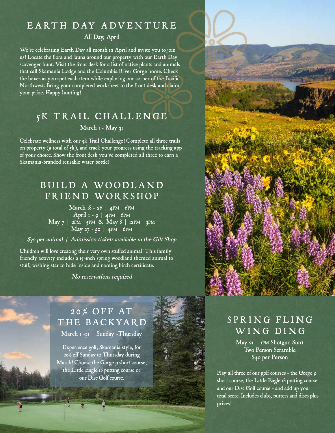#### EARTH DAY ADVENTURE

#### All Day, April

We're celebrating Earth Day all month in April and invite you to join us! Locate the fora and fauna around our property with our Earth Day scavenger hunt. Visit the front desk for a list of native plants and animals that call Skamania Lodge and the Columbia River Gorge home. Check the boxes as you spot each item while exploring our corner of the Pacifc Northwest. Bring your completed worksheet to the front desk and claim your prize. Happy hunting!

#### 5K TRAIL CHALLENGE

March 1 - May 21

Celebrate wellness with our 5k Trail Challenge! Complete all three trails on property (a total of 5k), and track your progress using the tracking app of your choice. Show the front desk you've completed all three to earn a Skamania-branded reusable water bottle!

### BUILD A WOODLAND FRIEND WORKSHOP

March 18 - 26 | 4PM 6PM April 1 - 9 | 4PM 6PM - - May 7 | 2pm 5pm & May 8 | 12pm 3pm  $\text{May } 27 - 30 \mid 4 \text{PM}$  6PM

\$30 per animal | Admission tickets available in the Gift Shop

 Children will love creating their very own stuffed animal! This family friendly activity includes a 15-inch spring woodland themed animal to stuff, wishing star to hide inside and naming birth certifcate.

No reservations required

### 2 0 % OFF AT THE BACKYARD

March 1 -31 | Sunday -Thursday

 our Disc Golf course. Experience golf, Skamania style, for 20% off Sunday to Thursday during March! Choose the Gorge 9 short course, the Little Eagle 18 putting course or



### SPRING FLING WING DING

May 21 | 1pm Shotgun Start Two Person Scramble \$40 per Person

Play all three of our golf courses - the Gorge 9 short course, the Little Eagle 18 putting course and our Disc Golf course – and add up your total score. Includes clubs, putters and discs plus prizes!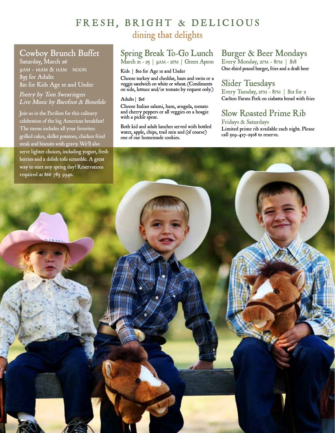#### FRESH, BRIGHT & DELICIOUS dining that delights

#### Cowboy Brunch Buffet

9AM - 10AM & 11AM NOON Saturday, March 26 \$35 for Adults \$21 for Kids Age 10 and Under

Poetry by Tom Swearingen Live Music by Barefoot & Bonefde

The menu includes all your favorites. - - required at 866 783 9340. Join us in the Pavilion for this culinary celebration of the big American breakfast! grilled cakes, skillet potatoes, chicken fried steak and biscuits with gravy. We'll also serve lighter choices, including yogurt, fresh berries and a delish tofu scramble. A great way to start any spring day! Reservations

#### Spring Break To-Go Lunch

March 21 - 25 | 9am - 2pm | Green Apron

#### Kids | \$10 for Age 10 and Under

Choose turkey and cheddar, ham and swiss or a veggie sandwich on white or wheat. (Condiments on side, lettuce and/or tomato by request only.)

#### Adults | \$16

Choose Italian salami, ham, arugula, tomato and cherry peppers or all veggies on a hoagie with a pickle spear.

Both kid and adult lunches served with bottled water, apple, chips, trail mix and (of course) one of our homemade cookies.

#### Burger & Beer Mondays

Every Monday, 2pm - 8pm | \$18 One-third pound burger, fries and a draft beer

#### Slider Tuesdays

Every Tuesday, 2pm - 8pm | \$12 for 2 Carlton Farms Pork on ciabatta bread with fries

### Slow Roasted Prime Rib

 call 509-427-2508 to reserve. Fridays & Saturdays Limited prime rib available each night. Please